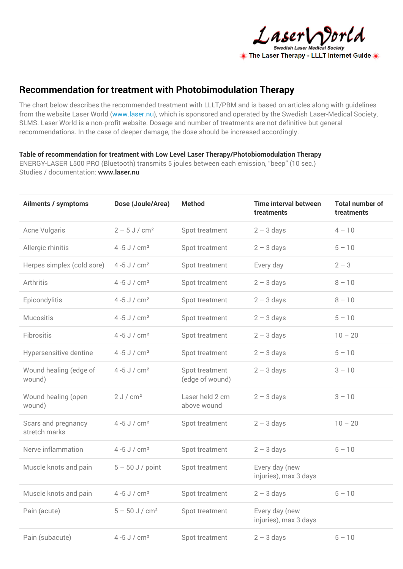

## **Recommendation for treatment with Photobimodulation Therapy**

The chart below describes the recommended treatment with LLLT/PBM and is based on articles along with guidelines from the website Laser World (www.laser.nu), which is sponsored and operated by the Swedish Laser-Medical Society, SLMS. Laser World is a non-profit website. Dosage and number of treatments are not definitive but general recommendations. In the case of deeper damage, the dose should be increased accordingly.

## **Table of recommendation for treatment with Low Level Laser Therapy/Photobiomodulation Therapy**

ENERGY-LASER L500 PRO (Bluetooth) transmits 5 joules between each emission, "beep" (10 sec.) Studies / documentation: **www.laser.nu**

| <b>Ailments / symptoms</b>           | Dose (Joule/Area)            | <b>Method</b>                     | <b>Time interval between</b><br>treatments | <b>Total number of</b><br>treatments |
|--------------------------------------|------------------------------|-----------------------------------|--------------------------------------------|--------------------------------------|
| <b>Acne Vulgaris</b>                 | $2 - 5$ J / cm <sup>2</sup>  | Spot treatment                    | $2 - 3$ days                               | $4 - 10$                             |
| Allergic rhinitis                    | 4 -5 J / $cm2$               | Spot treatment                    | $2 - 3$ days                               | $5 - 10$                             |
| Herpes simplex (cold sore)           | 4 -5 J / $cm2$               | Spot treatment                    | Every day                                  | $2 - 3$                              |
| <b>Arthritis</b>                     | 4 -5 J / $cm2$               | Spot treatment                    | $2 - 3$ days                               | $8 - 10$                             |
| Epicondylitis                        | 4 -5 J / $cm2$               | Spot treatment                    | $2 - 3$ days                               | $8 - 10$                             |
| <b>Mucositis</b>                     | 4 -5 J / $cm2$               | Spot treatment                    | $2 - 3$ days                               | $5 - 10$                             |
| Fibrositis                           | 4 -5 J / $cm2$               | Spot treatment                    | $2 - 3$ days                               | $10 - 20$                            |
| Hypersensitive dentine               | 4 -5 J / $cm2$               | Spot treatment                    | $2 - 3$ days                               | $5 - 10$                             |
| Wound healing (edge of<br>wound)     | 4 -5 J / $cm2$               | Spot treatment<br>(edge of wound) | $2 - 3$ days                               | $3 - 10$                             |
| Wound healing (open<br>wound)        | 2 J/cm <sup>2</sup>          | Laser held 2 cm<br>above wound    | $2 - 3$ days                               | $3 - 10$                             |
| Scars and pregnancy<br>stretch marks | 4 -5 J / $cm2$               | Spot treatment                    | $2 - 3$ days                               | $10 - 20$                            |
| Nerve inflammation                   | 4 -5 J / $cm2$               | Spot treatment                    | $2 - 3$ days                               | $5 - 10$                             |
| Muscle knots and pain                | $5 - 50$ J / point           | Spot treatment                    | Every day (new<br>injuries), max 3 days    |                                      |
| Muscle knots and pain                | 4 -5 J / $cm2$               | Spot treatment                    | $2 - 3$ days                               | $5 - 10$                             |
| Pain (acute)                         | $5 - 50$ J / cm <sup>2</sup> | Spot treatment                    | Every day (new<br>injuries), max 3 days    |                                      |
| Pain (subacute)                      | 4 -5 J / $cm2$               | Spot treatment                    | $2 - 3$ days                               | $5 - 10$                             |